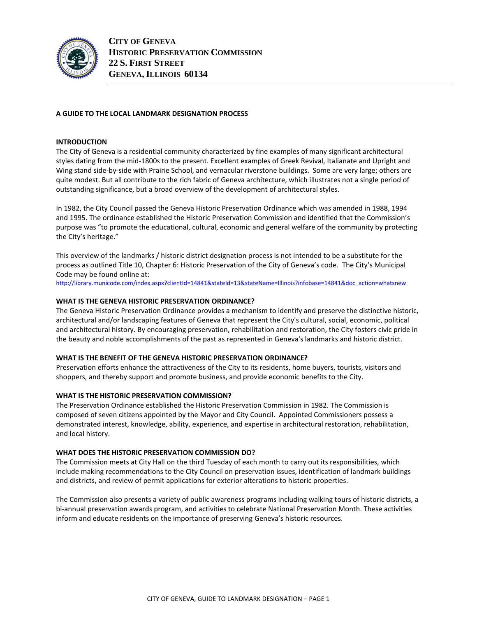

## **A GUIDE TO THE LOCAL LANDMARK DESIGNATION PROCESS**

## **INTRODUCTION**

The City of Geneva is a residential community characterized by fine examples of many significant architectural styles dating from the mid-1800s to the present. Excellent examples of Greek Revival, Italianate and Upright and Wing stand side-by-side with Prairie School, and vernacular riverstone buildings. Some are very large; others are quite modest. But all contribute to the rich fabric of Geneva architecture, which illustrates not a single period of outstanding significance, but a broad overview of the development of architectural styles.

In 1982, the City Council passed the Geneva Historic Preservation Ordinance which was amended in 1988, 1994 and 1995. The ordinance established the Historic Preservation Commission and identified that the Commission's purpose was "to promote the educational, cultural, economic and general welfare of the community by protecting the City's heritage."

This overview of the landmarks / historic district designation process is not intended to be a substitute for the process as outlined Title 10, Chapter 6: Historic Preservation of the City of Geneva's code. The City's Municipal Code may be found online at:

[http://library.municode.com/index.aspx?clientId=14841&stateId=13&stateName=Illinois?infobase=14841&doc\\_action=whatsnew](http://library.municode.com/index.aspx?clientId=14841&stateId=13&stateName=Illinois?infobase=14841&doc_action=whatsnew)

## **WHAT IS THE GENEVA HISTORIC PRESERVATION ORDINANCE?**

The Geneva Historic Preservation Ordinance provides a mechanism to identify and preserve the distinctive historic, architectural and/or landscaping features of Geneva that represent the City's cultural, social, economic, political and architectural history. By encouraging preservation, rehabilitation and restoration, the City fosters civic pride in the beauty and noble accomplishments of the past as represented in Geneva's landmarks and historic district.

#### **WHAT IS THE BENEFIT OF THE GENEVA HISTORIC PRESERVATION ORDINANCE?**

Preservation efforts enhance the attractiveness of the City to its residents, home buyers, tourists, visitors and shoppers, and thereby support and promote business, and provide economic benefits to the City.

### **WHAT IS THE HISTORIC PRESERVATION COMMISSION?**

The Preservation Ordinance established the Historic Preservation Commission in 1982. The Commission is composed of seven citizens appointed by the Mayor and City Council. Appointed Commissioners possess a demonstrated interest, knowledge, ability, experience, and expertise in architectural restoration, rehabilitation, and local history.

#### **WHAT DOES THE HISTORIC PRESERVATION COMMISSION DO?**

The Commission meets at City Hall on the third Tuesday of each month to carry out its responsibilities, which include making recommendations to the City Council on preservation issues, identification of landmark buildings and districts, and review of permit applications for exterior alterations to historic properties.

The Commission also presents a variety of public awareness programs including walking tours of historic districts, a bi-annual preservation awards program, and activities to celebrate National Preservation Month. These activities inform and educate residents on the importance of preserving Geneva's historic resources.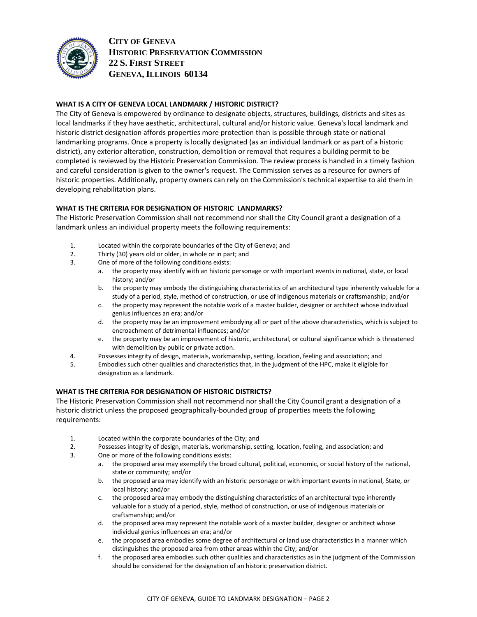

# **WHAT IS A CITY OF GENEVA LOCAL LANDMARK / HISTORIC DISTRICT?**

The City of Geneva is empowered by ordinance to designate objects, structures, buildings, districts and sites as local landmarks if they have aesthetic, architectural, cultural and/or historic value. Geneva's local landmark and historic district designation affords properties more protection than is possible through state or national landmarking programs. Once a property is locally designated (as an individual landmark or as part of a historic district), any exterior alteration, construction, demolition or removal that requires a building permit to be completed is reviewed by the Historic Preservation Commission. The review process is handled in a timely fashion and careful consideration is given to the owner's request. The Commission serves as a resource for owners of historic properties. Additionally, property owners can rely on the Commission's technical expertise to aid them in developing rehabilitation plans.

## **WHAT IS THE CRITERIA FOR DESIGNATION OF HISTORIC LANDMARKS?**

The Historic Preservation Commission shall not recommend nor shall the City Council grant a designation of a landmark unless an individual property meets the following requirements:

- 1. Located within the corporate boundaries of the City of Geneva; and
- 2. Thirty (30) years old or older, in whole or in part; and
- 3. One of more of the following conditions exists:
	- a. the property may identify with an historic personage or with important events in national, state, or local history; and/or
	- b. the property may embody the distinguishing characteristics of an architectural type inherently valuable for a study of a period, style, method of construction, or use of indigenous materials or craftsmanship; and/or
	- c. the property may represent the notable work of a master builder, designer or architect whose individual genius influences an era; and/or
	- d. the property may be an improvement embodying all or part of the above characteristics, which is subject to encroachment of detrimental influences; and/or
	- e. the property may be an improvement of historic, architectural, or cultural significance which is threatened with demolition by public or private action.
- 4. Possesses integrity of design, materials, workmanship, setting, location, feeling and association; and
- 5. Embodies such other qualities and characteristics that, in the judgment of the HPC, make it eligible for designation as a landmark.

## **WHAT IS THE CRITERIA FOR DESIGNATION OF HISTORIC DISTRICTS?**

The Historic Preservation Commission shall not recommend nor shall the City Council grant a designation of a historic district unless the proposed geographically-bounded group of properties meets the following requirements:

- 1. Located within the corporate boundaries of the City; and
- 2. Possesses integrity of design, materials, workmanship, setting, location, feeling, and association; and
- 3. One or more of the following conditions exists:
	- a. the proposed area may exemplify the broad cultural, political, economic, or social history of the national, state or community; and/or
	- b. the proposed area may identify with an historic personage or with important events in national, State, or local history; and/or
	- c. the proposed area may embody the distinguishing characteristics of an architectural type inherently valuable for a study of a period, style, method of construction, or use of indigenous materials or craftsmanship; and/or
	- d. the proposed area may represent the notable work of a master builder, designer or architect whose individual genius influences an era; and/or
	- e. the proposed area embodies some degree of architectural or land use characteristics in a manner which distinguishes the proposed area from other areas within the City; and/or
	- f. the proposed area embodies such other qualities and characteristics as in the judgment of the Commission should be considered for the designation of an historic preservation district.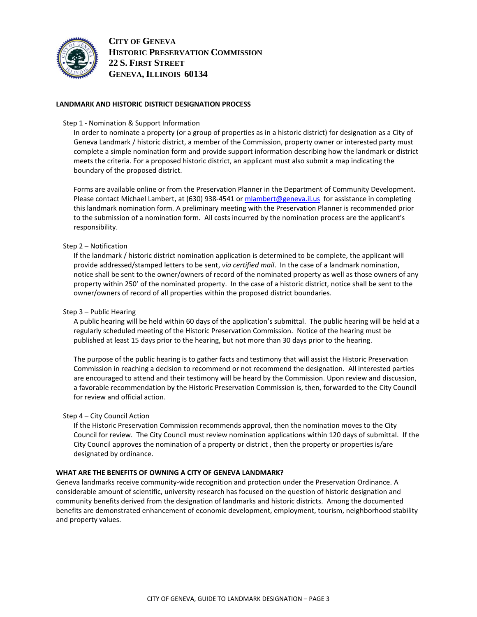

## **LANDMARK AND HISTORIC DISTRICT DESIGNATION PROCESS**

#### Step 1 - Nomination & Support Information

In order to nominate a property (or a group of properties as in a historic district) for designation as a City of Geneva Landmark / historic district, a member of the Commission, property owner or interested party must complete a simple nomination form and provide support information describing how the landmark or district meets the criteria. For a proposed historic district, an applicant must also submit a map indicating the boundary of the proposed district.

Forms are available online or from the Preservation Planner in the Department of Community Development. Please contact Michael Lambert, at (630) 938-4541 o[r mlambert@geneva.il.us](mailto:mlambert@geneva.il.us) for assistance in completing this landmark nomination form. A preliminary meeting with the Preservation Planner is recommended prior to the submission of a nomination form. All costs incurred by the nomination process are the applicant's responsibility.

#### Step 2 – Notification

If the landmark / historic district nomination application is determined to be complete, the applicant will provide addressed/stamped letters to be sent, *via certified mail*. In the case of a landmark nomination, notice shall be sent to the owner/owners of record of the nominated property as well as those owners of any property within 250' of the nominated property. In the case of a historic district, notice shall be sent to the owner/owners of record of all properties within the proposed district boundaries.

#### Step 3 – Public Hearing

A public hearing will be held within 60 days of the application's submittal. The public hearing will be held at a regularly scheduled meeting of the Historic Preservation Commission. Notice of the hearing must be published at least 15 days prior to the hearing, but not more than 30 days prior to the hearing.

The purpose of the public hearing is to gather facts and testimony that will assist the Historic Preservation Commission in reaching a decision to recommend or not recommend the designation. All interested parties are encouraged to attend and their testimony will be heard by the Commission. Upon review and discussion, a favorable recommendation by the Historic Preservation Commission is, then, forwarded to the City Council for review and official action.

#### Step 4 – City Council Action

If the Historic Preservation Commission recommends approval, then the nomination moves to the City Council for review. The City Council must review nomination applications within 120 days of submittal. If the City Council approves the nomination of a property or district , then the property or properties is/are designated by ordinance.

#### **WHAT ARE THE BENEFITS OF OWNING A CITY OF GENEVA LANDMARK?**

Geneva landmarks receive community-wide recognition and protection under the Preservation Ordinance. A considerable amount of scientific, university research has focused on the question of historic designation and community benefits derived from the designation of landmarks and historic districts. Among the documented benefits are demonstrated enhancement of economic development, employment, tourism, neighborhood stability and property values.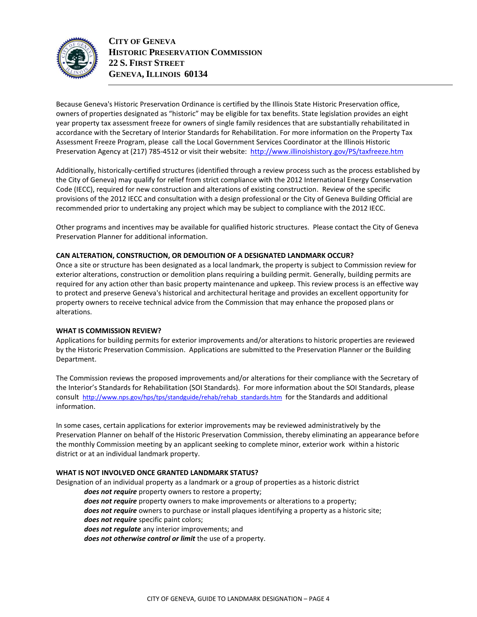

**CITY OF GENEVA HISTORIC PRESERVATION COMMISSION 22 S. FIRST STREET GENEVA, ILLINOIS 60134**

Because Geneva's Historic Preservation Ordinance is certified by the Illinois State Historic Preservation office, owners of properties designated as "historic" may be eligible for tax benefits. State legislation provides an eight year property tax assessment freeze for owners of single family residences that are substantially rehabilitated in accordance with the Secretary of Interior Standards for Rehabilitation. For more information on the Property Tax Assessment Freeze Program, please call the Local Government Services Coordinator at the Illinois Historic Preservation Agency at (217) 785-4512 or visit their website:<http://www.illinoishistory.gov/PS/taxfreeze.htm>

Additionally, historically-certified structures (identified through a review process such as the process established by the City of Geneva) may qualify for relief from strict compliance with the 2012 International Energy Conservation Code (IECC), required for new construction and alterations of existing construction. Review of the specific provisions of the 2012 IECC and consultation with a design professional or the City of Geneva Building Official are recommended prior to undertaking any project which may be subject to compliance with the 2012 IECC.

Other programs and incentives may be available for qualified historic structures. Please contact the City of Geneva Preservation Planner for additional information.

## **CAN ALTERATION, CONSTRUCTION, OR DEMOLITION OF A DESIGNATED LANDMARK OCCUR?**

Once a site or structure has been designated as a local landmark, the property is subject to Commission review for exterior alterations, construction or demolition plans requiring a building permit. Generally, building permits are required for any action other than basic property maintenance and upkeep. This review process is an effective way to protect and preserve Geneva's historical and architectural heritage and provides an excellent opportunity for property owners to receive technical advice from the Commission that may enhance the proposed plans or alterations.

#### **WHAT IS COMMISSION REVIEW?**

Applications for building permits for exterior improvements and/or alterations to historic properties are reviewed by the Historic Preservation Commission. Applications are submitted to the Preservation Planner or the Building Department.

The Commission reviews the proposed improvements and/or alterations for their compliance with the Secretary of the Interior's Standards for Rehabilitation (SOI Standards). For more information about the SOI Standards, please consult [http://www.nps.gov/hps/tps/standguide/rehab/rehab\\_standards.htm](http://www.nps.gov/hps/tps/standguide/rehab/rehab_standards.htm) for the Standards and additional information.

In some cases, certain applications for exterior improvements may be reviewed administratively by the Preservation Planner on behalf of the Historic Preservation Commission, thereby eliminating an appearance before the monthly Commission meeting by an applicant seeking to complete minor, exterior work within a historic district or at an individual landmark property.

#### **WHAT IS NOT INVOLVED ONCE GRANTED LANDMARK STATUS?**

Designation of an individual property as a landmark or a group of properties as a historic district

*does not require* property owners to restore a property;

*does not require* property owners to make improvements or alterations to a property; *does not require* owners to purchase or install plaques identifying a property as a historic site;

*does not require* specific paint colors;

*does not regulate* any interior improvements; and

*does not otherwise control or limit* the use of a property.